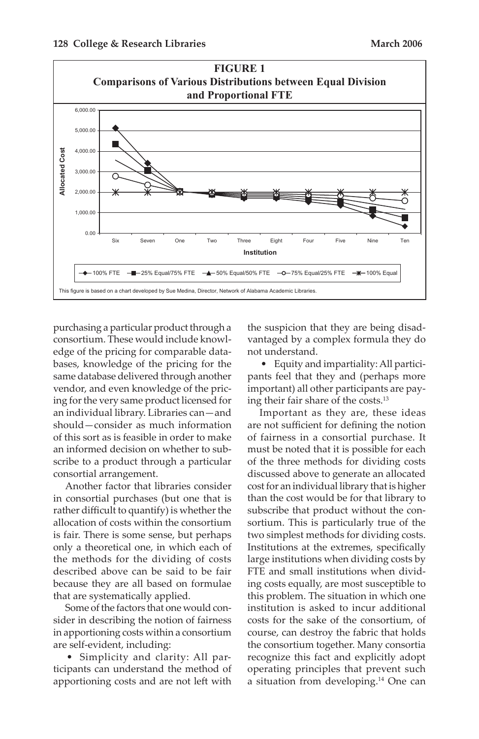

 purchasing a particular product through a consortium. These would include knowl- same database delivered through another ing for the very same product licensed for should—consider as much information edge of the pricing for comparable databases, knowledge of the pricing for the vendor, and even knowledge of the prican individual library. Libraries can—and of this sort as is feasible in order to make an informed decision on whether to subscribe to a product through a particular consortial arrangement.

 in consortial purchases (but one that is rather difficult to quantify) is whether the the methods for the dividing of costs described above can be said to be fair Another factor that libraries consider allocation of costs within the consortium is fair. There is some sense, but perhaps only a theoretical one, in which each of because they are all based on formulae that are systematically applied.

 Some of the factors that one would con- in apportioning costs within a consortium sider in describing the notion of fairness are self-evident, including:

 • Simplicity and clarity: All participants can understand the method of apportioning costs and are not left with the suspicion that they are being disadvantaged by a complex formula they do not understand.

 • Equity and impartiality: All participants feel that they and (perhaps more important) all other participants are paying their fair share of the costs.13

 Important as they are, these ideas of fairness in a consortial purchase. It cost for an individual library that is higher institution is asked to incur additional costs for the sake of the consortium, of recognize this fact and explicitly adopt operating principles that prevent such a situation from developing.<sup>14</sup> One can are not sufficient for defining the notion must be noted that it is possible for each of the three methods for dividing costs discussed above to generate an allocated than the cost would be for that library to subscribe that product without the consortium. This is particularly true of the two simplest methods for dividing costs. Institutions at the extremes, specifically large institutions when dividing costs by FTE and small institutions when dividing costs equally, are most susceptible to this problem. The situation in which one course, can destroy the fabric that holds the consortium together. Many consortia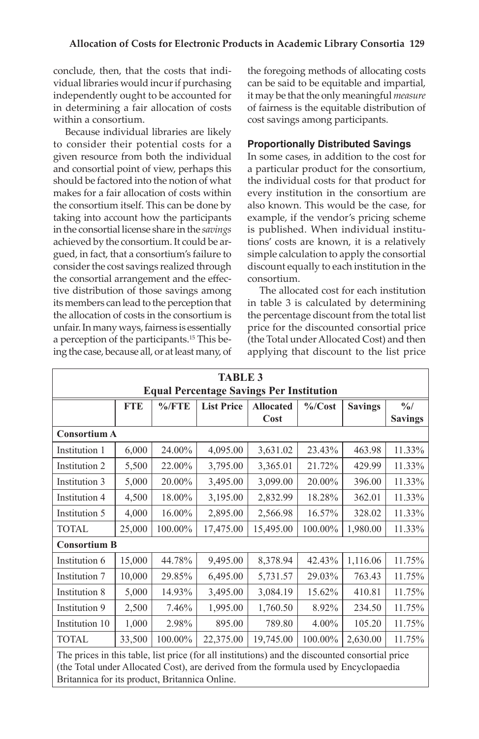vidual libraries would incur if purchasing conclude, then, that the costs that indiindependently ought to be accounted for in determining a fair allocation of costs within a consortium.

 Because individual libraries are likely to consider their potential costs for a given resource from both the individual and consortial point of view, perhaps this should be factored into the notion of what makes for a fair allocation of costs within the consortium itself. This can be done by taking into account how the participants in the consortial license share in the *savings*  achieved by the consortium. It could be ar- gued, in fact, that a consortium's failure to consider the cost savings realized through the consortial arrangement and the effec- tive distribution of those savings among its members can lead to the perception that the allocation of costs in the consortium is unfair. In many ways, fairness is essentially a perception of the participants.<sup>15</sup> This be-ing the case, because all, or at least many, of  the foregoing methods of allocating costs can be said to be equitable and impartial, it may be that the only meaningful *measure*  of fairness is the equitable distribution of cost savings among participants.

# **Proportionally Distributed Savings**

 every institution in the consortium are is published. When individual institu- discount equally to each institution in the In some cases, in addition to the cost for a particular product for the consortium, the individual costs for that product for also known. This would be the case, for example, if the vendor's pricing scheme tions' costs are known, it is a relatively simple calculation to apply the consortial consortium.

 in table 3 is calculated by determining the percentage discount from the total list (the Total under Allocated Cost) and then applying that discount to the list price The allocated cost for each institution price for the discounted consortial price

| <b>TABLE 3</b>                                                                                                                         |                                                                          |           |                   |                                |         |                |               |  |  |
|----------------------------------------------------------------------------------------------------------------------------------------|--------------------------------------------------------------------------|-----------|-------------------|--------------------------------|---------|----------------|---------------|--|--|
| <b>Equal Percentage Savings Per Institution</b>                                                                                        |                                                                          |           |                   |                                |         |                |               |  |  |
|                                                                                                                                        | <b>FTE</b>                                                               | $\%$ /FTE | <b>List Price</b> | $\%$ /Cost<br><b>Allocated</b> |         | <b>Savings</b> | $\frac{0}{0}$ |  |  |
|                                                                                                                                        | <b>Savings</b><br>Cost                                                   |           |                   |                                |         |                |               |  |  |
| <b>Consortium A</b>                                                                                                                    |                                                                          |           |                   |                                |         |                |               |  |  |
| Institution 1                                                                                                                          | 6,000                                                                    | 24.00%    | 4,095.00          | 3,631.02                       | 23.43%  | 463.98         | 11.33%        |  |  |
| Institution 2                                                                                                                          | 5,500                                                                    | 22.00%    | 3,795.00          | 3,365.01                       | 21.72%  | 429.99         | 11.33%        |  |  |
| Institution 3                                                                                                                          | 5,000                                                                    | 20.00%    | 3,495.00          | 3,099.00                       | 20.00%  | 396.00         | 11.33%        |  |  |
| Institution 4                                                                                                                          | 4,500                                                                    | 18.00%    | 3,195.00          | 2,832.99                       | 18.28%  | 362.01         | 11.33%        |  |  |
| Institution 5                                                                                                                          | 4,000                                                                    | 16.00%    | 2,895.00          | 2,566.98                       | 16.57%  | 328.02         | 11.33%        |  |  |
| <b>TOTAL</b>                                                                                                                           | 25,000                                                                   | 100.00%   | 17,475.00         | 15,495.00                      | 100.00% | 1,980.00       | 11.33%        |  |  |
| <b>Consortium B</b>                                                                                                                    |                                                                          |           |                   |                                |         |                |               |  |  |
| Institution 6                                                                                                                          | 1,116.06<br>15,000<br>44.78%<br>9,495.00<br>8,378.94<br>42.43%<br>11.75% |           |                   |                                |         |                |               |  |  |
| Institution 7                                                                                                                          | 10,000                                                                   | 29.85%    | 6,495.00          | 5,731.57                       | 29.03%  | 763.43         | 11.75%        |  |  |
| Institution 8                                                                                                                          | 5,000                                                                    | 14.93%    | 3,495.00          | 3,084.19                       | 15.62%  | 410.81         | 11.75%        |  |  |
| Institution 9                                                                                                                          | 2,500                                                                    | 7.46%     | 1,995.00          | 1,760.50                       | 8.92%   | 234.50         | 11.75%        |  |  |
| Institution 10                                                                                                                         | 1,000                                                                    | 2.98%     | 895.00            | 789.80                         | 4.00%   | 105.20         | 11.75%        |  |  |
| <b>TOTAL</b>                                                                                                                           | 33,500                                                                   | 100.00%   | 22,375.00         | 19,745.00                      | 100.00% | 2,630.00       | 11.75%        |  |  |
| The prices in this table, list price (for all institutions) and the discounted consortial price                                        |                                                                          |           |                   |                                |         |                |               |  |  |
| (the Total under Allocated Cost), are derived from the formula used by Encyclopaedia<br>Britannica for its product, Britannica Online. |                                                                          |           |                   |                                |         |                |               |  |  |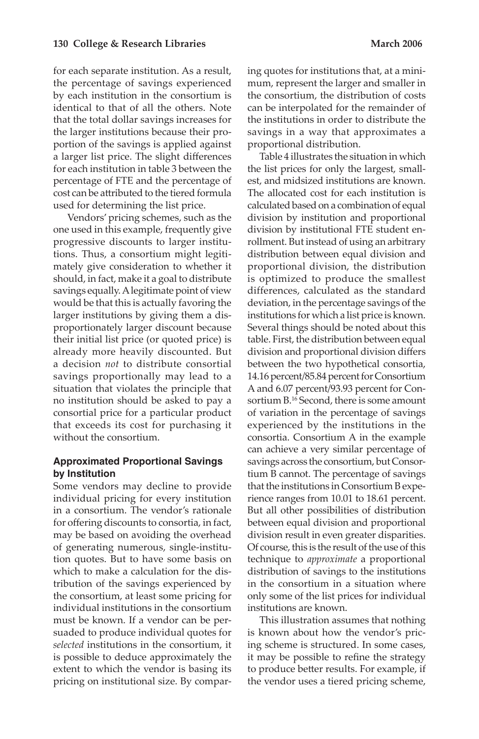the percentage of savings experienced identical to that of all the others. Note cost can be attributed to the tiered formula for each separate institution. As a result, by each institution in the consortium is that the total dollar savings increases for the larger institutions because their proportion of the savings is applied against a larger list price. The slight differences for each institution in table 3 between the percentage of FTE and the percentage of used for determining the list price.

 Vendors' pricing schemes, such as the progressive discounts to larger institu- tions. Thus, a consortium might legiti- should, in fact, make it a goal to distribute savings equally. Alegitimate point of view would be that this is actually favoring the already more heavily discounted. But a decision *not* to distribute consortial savings proportionally may lead to a that exceeds its cost for purchasing it one used in this example, frequently give mately give consideration to whether it larger institutions by giving them a disproportionately larger discount because their initial list price (or quoted price) is situation that violates the principle that no institution should be asked to pay a consortial price for a particular product without the consortium.

## **Approximated Proportional Savings by Institution**

 Some vendors may decline to provide individual pricing for every institution for offering discounts to consortia, in fact, of generating numerous, single-institu- tion quotes. But to have some basis on in a consortium. The vendor's rationale may be based on avoiding the overhead which to make a calculation for the distribution of the savings experienced by the consortium, at least some pricing for individual institutions in the consortium must be known. If a vendor can be persuaded to produce individual quotes for *selected* institutions in the consortium, it is possible to deduce approximately the extent to which the vendor is basing its pricing on institutional size. By compar-

 savings in a way that approximates a ing quotes for institutions that, at a minimum, represent the larger and smaller in the consortium, the distribution of costs can be interpolated for the remainder of the institutions in order to distribute the proportional distribution.

 Table 4 illustrates the situation in which the list prices for only the largest, small- est, and midsized institutions are known. The allocated cost for each institution is calculated based on a combination of equal division by institution and proportional division by institutional FTE student en- rollment. But instead of using an arbitrary distribution between equal division and proportional division, the distribution is optimized to produce the smallest differences, calculated as the standard deviation, in the percentage savings of the institutions for which a list price is known. Several things should be noted about this table. First, the distribution between equal division and proportional division differs between the two hypothetical consortia, 14.16 percent/85.84 percent for Consortium A and 6.07 percent/93.93 percent for Con- sortium B.16 Second, there is some amount of variation in the percentage of savings experienced by the institutions in the consortia. Consortium A in the example can achieve a very similar percentage of savings across the consortium, but Consor- tium B cannot. The percentage of savings that the institutions in Consortium B expe- rience ranges from 10.01 to 18.61 percent. But all other possibilities of distribution between equal division and proportional division result in even greater disparities. Of course, this is the result of the use of this technique to *approximate* a proportional distribution of savings to the institutions in the consortium in a situation where only some of the list prices for individual institutions are known.

 is known about how the vendor's pric-This illustration assumes that nothing ing scheme is structured. In some cases, it may be possible to refine the strategy to produce better results. For example, if the vendor uses a tiered pricing scheme,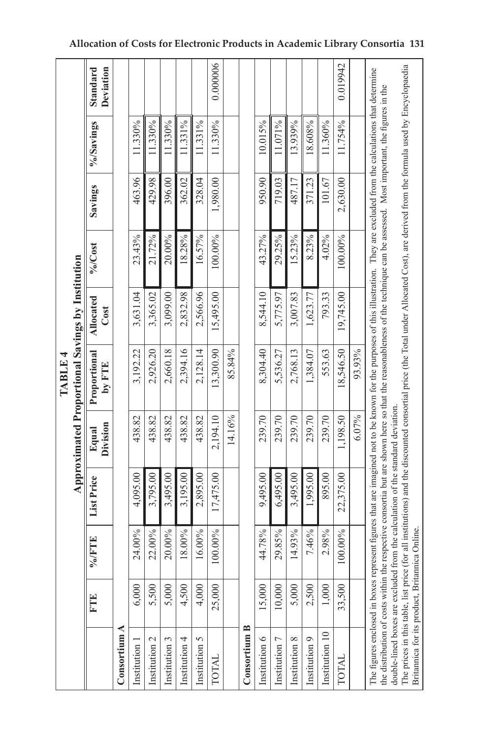|                                                                                     |        |          |                                                                                 |                   | Approximated Proportional Savings by Institution<br><b>TABLE 4</b>                                                                                                                                                                                                                                                                                              |                          |            |          |           |                       |
|-------------------------------------------------------------------------------------|--------|----------|---------------------------------------------------------------------------------|-------------------|-----------------------------------------------------------------------------------------------------------------------------------------------------------------------------------------------------------------------------------------------------------------------------------------------------------------------------------------------------------------|--------------------------|------------|----------|-----------|-----------------------|
|                                                                                     | FTE    | %/FTE    | List Price                                                                      | Division<br>Equal | Proportional<br>by FTE                                                                                                                                                                                                                                                                                                                                          | <b>Allocated</b><br>Cost | $\%$ /Cost | Savings  | %/Savings | Standard<br>Deviation |
| Consortium A                                                                        |        |          |                                                                                 |                   |                                                                                                                                                                                                                                                                                                                                                                 |                          |            |          |           |                       |
| Institution                                                                         | 6,000  | 24.00%   | 4,095.00                                                                        | 438.82            | 3,192.22                                                                                                                                                                                                                                                                                                                                                        | 3,631.04                 | 23.43%     | 463.96   | 11.330%   |                       |
| Institution 2                                                                       | 5,500  | 22.00%   | 3,795.00                                                                        | 438.82            | 2,926.20                                                                                                                                                                                                                                                                                                                                                        | 3,365.02                 | 21.72%     | 429.98   | 11.330%   |                       |
| Institution 3                                                                       | 5,000  | 20.00%   | 3,495.00                                                                        | 438.82            | 2,660.18                                                                                                                                                                                                                                                                                                                                                        | 3,099.00                 | 20.00%     | 396.00   | 11.330%   |                       |
| Institution 4                                                                       | 4,500  | $8.00\%$ | 3,195.00                                                                        | 438.82            | 2,394.16                                                                                                                                                                                                                                                                                                                                                        | 2,832.98                 | 18.28%     | 362.02   | 11.331%   |                       |
| Institution 5                                                                       | 4,000  | 6.00%    | 2,895.00                                                                        | 438.82            | 2,128.14                                                                                                                                                                                                                                                                                                                                                        | 2,566.96                 | 16.57%     | 328.04   | 11.331%   |                       |
| TOTAL                                                                               | 25,000 | 100.00%  | 17,475.00                                                                       | 2,194.10          | 13,300.90                                                                                                                                                                                                                                                                                                                                                       | 15,495.00                | 100.00%    | 1,980.00 | 11.330%   | 0.000006              |
|                                                                                     |        |          |                                                                                 | 14.16%            | 85.84%                                                                                                                                                                                                                                                                                                                                                          |                          |            |          |           |                       |
| <b>Consortium B</b>                                                                 |        |          |                                                                                 |                   |                                                                                                                                                                                                                                                                                                                                                                 |                          |            |          |           |                       |
| Institution 6                                                                       | 15,000 | 44.78%   | 9,495.00                                                                        | 239.70            | 8,304.40                                                                                                                                                                                                                                                                                                                                                        | 8,544.10                 | 43.27%     | 950.90   | 10.015%   |                       |
| Institution 7                                                                       | 10,000 | 29.85%   | 6,495.00                                                                        | 239.70            | 5,536.27                                                                                                                                                                                                                                                                                                                                                        | 5,775.97                 | 29.25%     | 719.03   | 11.071%   |                       |
| Institution 8                                                                       | 5,000  | 4.93%    | 3,495.00                                                                        | 239.70            | 2,768.13                                                                                                                                                                                                                                                                                                                                                        | 3,007.83                 | 15.23%     | 487.17   | 13.939%   |                       |
| Institution 9                                                                       | 2,500  | 7.46%    | 1.995.00                                                                        | 239.70            | 1.384.07                                                                                                                                                                                                                                                                                                                                                        | 1,623.77                 | 8.23%      | 371.23   | 18.608%   |                       |
| Institution 10                                                                      | 1,000  | 2.98%    | 895.00                                                                          | 239.70            | 553.63                                                                                                                                                                                                                                                                                                                                                          | 793.33                   | 4.02%      | 101.67   | 11.360%   |                       |
| TOTAL                                                                               | 33,500 | 100.00%  | 22,375.00                                                                       | 1,198.50          | 18,546.50                                                                                                                                                                                                                                                                                                                                                       | 19,745.00                | 100.00%    | 2,630.00 | 11.754%   | 0.019942              |
|                                                                                     |        |          |                                                                                 | 6.07%             | 93.93%                                                                                                                                                                                                                                                                                                                                                          |                          |            |          |           |                       |
|                                                                                     |        |          | double-lined boxes are excluded from the calculation of the standard deviation. |                   | The figures enclosed in boxes represent figures that are imagined not to be known for the purposes of this illustration. They are excluded from the calculations that determine<br>the distribution of costs within the respective consortia but are shown here so that the reasonableness of the technique can be assessed. Most important, the figures in the |                          |            |          |           |                       |
| The prices in this table, list price (for<br>Britannica for its product, Britannica |        | Online.  |                                                                                 |                   | all institutions) and the discounted consortial price (the Total under Allocated Cost), are derived from the formula used by Encyclopaedia                                                                                                                                                                                                                      |                          |            |          |           |                       |

# **Allocation of Costs for Electronic Products in Academic Library Consortia 131**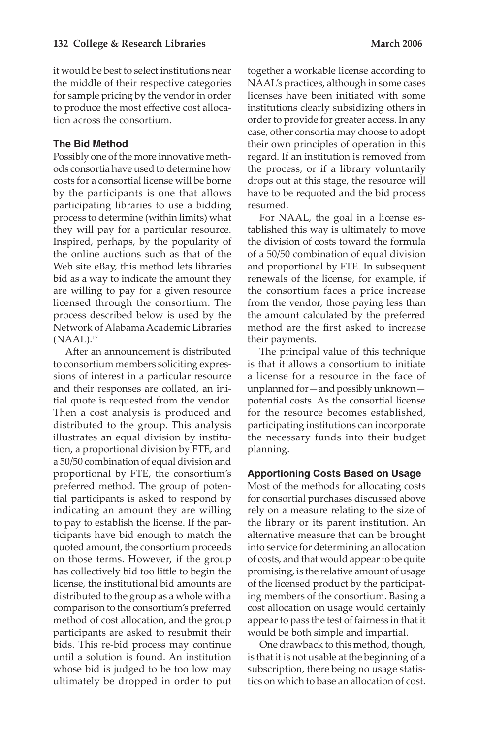it would be best to select institutions near the middle of their respective categories for sample pricing by the vendor in order to produce the most effective cost allocation across the consortium.

# **The Bid Method**

 Possibly one of the more innovative meth- ods consortia have used to determine how by the participants is one that allows participating libraries to use a bidding process to determine (within limits) what they will pay for a particular resource. Inspired, perhaps, by the popularity of the online auctions such as that of the are willing to pay for a given resource licensed through the consortium. The costs for a consortial license will be borne Web site eBay, this method lets libraries bid as a way to indicate the amount they process described below is used by the Network of Alabama Academic Libraries (NAAL).17

 to consortium members soliciting expres- Then a cost analysis is produced and distributed to the group. This analysis illustrates an equal division by institu- a 50/50 combination of equal division and proportional by FTE, the consortium's preferred method. The group of poten- indicating an amount they are willing quoted amount, the consortium proceeds on those terms. However, if the group distributed to the group as a whole with a comparison to the consortium's preferred bids. This re-bid process may continue ultimately be dropped in order to put After an announcement is distributed sions of interest in a particular resource and their responses are collated, an initial quote is requested from the vendor. tion, a proportional division by FTE, and tial participants is asked to respond by to pay to establish the license. If the participants have bid enough to match the has collectively bid too little to begin the license, the institutional bid amounts are method of cost allocation, and the group participants are asked to resubmit their until a solution is found. An institution whose bid is judged to be too low may

 NAAL's practices, although in some cases licenses have been initiated with some order to provide for greater access. In any case, other consortia may choose to adopt the process, or if a library voluntarily together a workable license according to institutions clearly subsidizing others in their own principles of operation in this regard. If an institution is removed from drops out at this stage, the resource will have to be requoted and the bid process resumed.

 For NAAL, the goal in a license es- renewals of the license, for example, if the consortium faces a price increase method are the first asked to increase tablished this way is ultimately to move the division of costs toward the formula of a 50/50 combination of equal division and proportional by FTE. In subsequent from the vendor, those paying less than the amount calculated by the preferred their payments.

 a license for a resource in the face of unplanned for—and possibly unknown— for the resource becomes established, participating institutions can incorporate the necessary funds into their budget The principal value of this technique is that it allows a consortium to initiate potential costs. As the consortial license planning.

### **Apportioning Costs Based on Usage**

 the library or its parent institution. An into service for determining an allocation of costs, and that would appear to be quite promising, is the relative amount of usage appear to pass the test of fairness in that it Most of the methods for allocating costs for consortial purchases discussed above rely on a measure relating to the size of alternative measure that can be brought of the licensed product by the participating members of the consortium. Basing a cost allocation on usage would certainly would be both simple and impartial.

 One drawback to this method, though, is that it is not usable at the beginning of a tics on which to base an allocation of cost. subscription, there being no usage statis-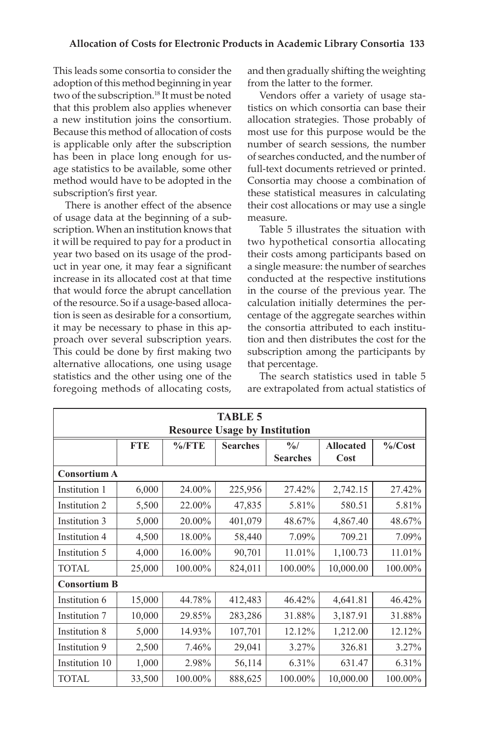## **Allocation of Costs for Electronic Products in Academic Library Consortia 133**

 adoption of this method beginning in year two of the subscription.<sup>18</sup> It must be noted a new institution joins the consortium. Because this method of allocation of costs has been in place long enough for us-This leads some consortia to consider the that this problem also applies whenever is applicable only after the subscription age statistics to be available, some other method would have to be adopted in the subscription's first year.

 scription. When an institution knows that of the resource. So if a usage-based alloca- proach over several subscription years. alternative allocations, one using usage foregoing methods of allocating costs, There is another effect of the absence of usage data at the beginning of a subit will be required to pay for a product in year two based on its usage of the product in year one, it may fear a significant increase in its allocated cost at that time that would force the abrupt cancellation tion is seen as desirable for a consortium, it may be necessary to phase in this ap-This could be done by first making two statistics and the other using one of the

and then gradually shifting the weighting from the latter to the former.

 Vendors offer a variety of usage sta- allocation strategies. Those probably of number of search sessions, the number of searches conducted, and the number of these statistical measures in calculating tistics on which consortia can base their most use for this purpose would be the full-text documents retrieved or printed. Consortia may choose a combination of their cost allocations or may use a single measure.

 Table 5 illustrates the situation with two hypothetical consortia allocating conducted at the respective institutions in the course of the previous year. The the consortia attributed to each institu- subscription among the participants by their costs among participants based on a single measure: the number of searches calculation initially determines the percentage of the aggregate searches within tion and then distributes the cost for the that percentage.

 The search statistics used in table 5 are extrapolated from actual statistics of

| <b>TABLE 5</b>                       |            |           |                 |                 |                  |            |  |  |  |
|--------------------------------------|------------|-----------|-----------------|-----------------|------------------|------------|--|--|--|
| <b>Resource Usage by Institution</b> |            |           |                 |                 |                  |            |  |  |  |
|                                      | <b>FTE</b> | $\%$ /FTE | <b>Searches</b> | $\frac{0}{0}$   | <b>Allocated</b> | $\%$ /Cost |  |  |  |
|                                      |            |           |                 | <b>Searches</b> | Cost             |            |  |  |  |
| <b>Consortium A</b>                  |            |           |                 |                 |                  |            |  |  |  |
| Institution 1                        | 6,000      | 24.00%    | 225,956         | 27.42%          | 2,742.15         | 27.42%     |  |  |  |
| Institution 2                        | 5,500      | 22.00%    | 47,835          | 5.81%           | 580.51           | 5.81%      |  |  |  |
| Institution 3                        | 5,000      | 20.00%    | 401,079         | 48.67%          | 4,867.40         | 48.67%     |  |  |  |
| Institution 4                        | 4,500      | 18.00%    | 58,440          | 7.09%           | 709.21           | 7.09%      |  |  |  |
| Institution 5                        | 4,000      | 16.00%    | 90,701          | 11.01%          | 1,100.73         | 11.01%     |  |  |  |
| TOTAL                                | 25,000     | 100.00%   | 824,011         | 100.00%         | 10,000.00        | 100.00%    |  |  |  |
| <b>Consortium B</b>                  |            |           |                 |                 |                  |            |  |  |  |
| Institution 6                        | 15,000     | 44.78%    | 412,483         | 46.42%          | 4,641.81         | 46.42%     |  |  |  |
| Institution 7                        | 10,000     | 29.85%    | 283,286         | 31.88%          | 3,187.91         | 31.88%     |  |  |  |
| Institution 8                        | 5,000      | 14.93%    | 107,701         | 12.12%          | 1,212.00         | 12.12%     |  |  |  |
| Institution 9                        | 2,500      | 7.46%     | 29,041          | 3.27%           | 326.81           | 3.27%      |  |  |  |
| Institution 10                       | 1,000      | 2.98%     | 56,114          | 6.31%           | 631.47           | 6.31%      |  |  |  |
| <b>TOTAL</b>                         | 33,500     | 100.00%   | 888,625         | 100.00%         | 10,000.00        | 100.00%    |  |  |  |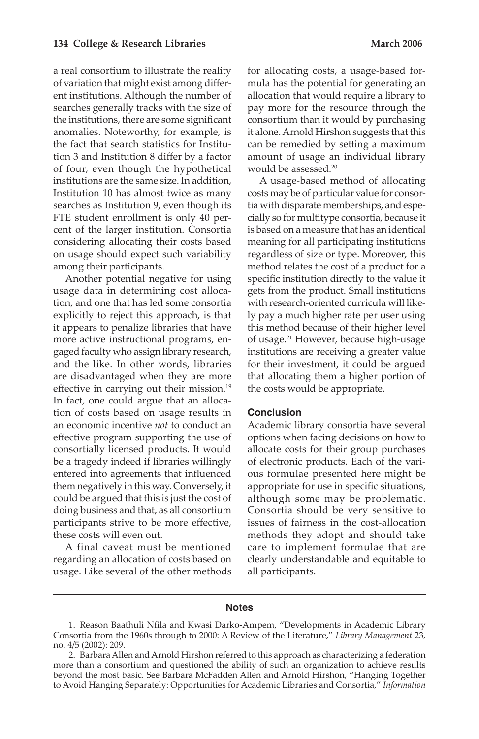of variation that might exist among differ- the institutions, there are some significant anomalies. Noteworthy, for example, is of four, even though the hypothetical institutions are the same size. In addition, FTE student enrollment is only 40 per- cent of the larger institution. Consortia considering allocating their costs based a real consortium to illustrate the reality ent institutions. Although the number of searches generally tracks with the size of the fact that search statistics for Institution 3 and Institution 8 differ by a factor Institution 10 has almost twice as many searches as Institution 9, even though its on usage should expect such variability among their participants.

 Another potential negative for using usage data in determining cost alloca- gaged faculty who assign library research, and the like. In other words, libraries In fact, one could argue that an alloca- tion of costs based on usage results in them negatively in this way. Conversely, it could be argued that this is just the cost of doing business and that, as all consortium participants strive to be more effective, tion, and one that has led some consortia explicitly to reject this approach, is that it appears to penalize libraries that have more active instructional programs, enare disadvantaged when they are more effective in carrying out their mission.19 an economic incentive *not* to conduct an effective program supporting the use of consortially licensed products. It would be a tragedy indeed if libraries willingly entered into agreements that influenced these costs will even out.

 A final caveat must be mentioned regarding an allocation of costs based on usage. Like several of the other methods

 for allocating costs, a usage-based for- pay more for the resource through the it alone.Arnold Hirshon suggests that this amount of usage an individual library mula has the potential for generating an allocation that would require a library to consortium than it would by purchasing can be remedied by setting a maximum would be assessed.<sup>20</sup>

 A usage-based method of allocating costs may be of particular value for consor- tia with disparate memberships, and espe- cially so for multitype consortia, because it is based on a measure that has an identical meaning for all participating institutions regardless of size or type. Moreover, this method relates the cost of a product for a specific institution directly to the value it gets from the product. Small institutions with research-oriented curricula will like- ly pay a much higher rate per user using this method because of their higher level of usage.<sup>21</sup> However, because high-usage institutions are receiving a greater value for their investment, it could be argued that allocating them a higher portion of the costs would be appropriate.

#### **Conclusion**

 ous formulae presented here might be although some may be problematic. Consortia should be very sensitive to issues of fairness in the cost-allocation methods they adopt and should take care to implement formulae that are Academic library consortia have several options when facing decisions on how to allocate costs for their group purchases of electronic products. Each of the variappropriate for use in specific situations, clearly understandable and equitable to all participants.

#### **Notes**

<sup>1.</sup> Reason Baathuli Nfila and Kwasi Darko-Ampem, "Developments in Academic Library Consortia from the 1960s through to 2000: A Review of the Literature," *Library Management* 23, no. 4/5 (2002): 209.

<sup>2.</sup> Barbara Allen and Arnold Hirshon referred to this approach as characterizing a federation more than a consortium and questioned the ability of such an organization to achieve results beyond the most basic. See Barbara McFadden Allen and Arnold Hirshon, "Hanging Together to Avoid Hanging Separately: Opportunities for Academic Libraries and Consortia," *Information*